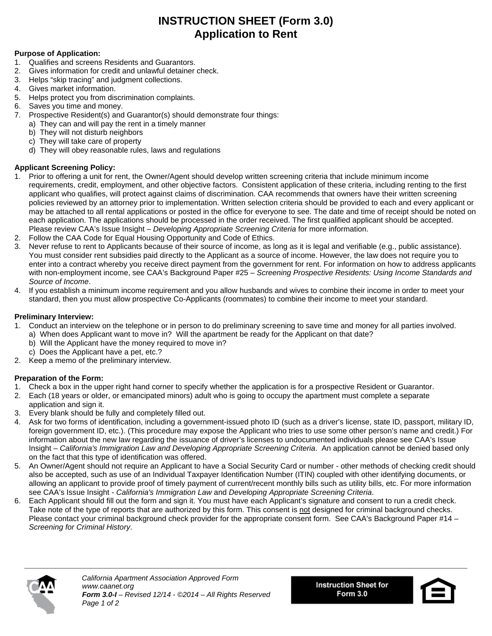# **INSTRUCTION SHEET (Form 3.0) Application to Rent**

### **Purpose of Application:**

- 1. Qualifies and screens Residents and Guarantors.
- 2. Gives information for credit and unlawful detainer check.
- 3. Helps "skip tracing" and judgment collections.
- 4. Gives market information.
- 5. Helps protect you from discrimination complaints.
- 6. Saves you time and money.
- 7. Prospective Resident(s) and Guarantor(s) should demonstrate four things:
	- a) They can and will pay the rent in a timely manner
	- b) They will not disturb neighbors
	- c) They will take care of property
	- d) They will obey reasonable rules, laws and regulations

## **Applicant Screening Policy:**

- 1. Prior to offering a unit for rent, the Owner/Agent should develop written screening criteria that include minimum income requirements, credit, employment, and other objective factors. Consistent application of these criteria, including renting to the first applicant who qualifies, will protect against claims of discrimination. CAA recommends that owners have their written screening policies reviewed by an attorney prior to implementation. Written selection criteria should be provided to each and every applicant or may be attached to all rental applications or posted in the office for everyone to see. The date and time of receipt should be noted on each application. The applications should be processed in the order received. The first qualified applicant should be accepted. Please review CAA's Issue Insight – *Developing Appropriate Screening Criteria* for more information.
- 2. Follow the CAA Code for Equal Housing Opportunity and Code of Ethics.
- 3. Never refuse to rent to Applicants because of their source of income, as long as it is legal and verifiable (e.g., public assistance). You must consider rent subsidies paid directly to the Applicant as a source of income. However, the law does not require you to enter into a contract whereby you receive direct payment from the government for rent. For information on how to address applicants with non-employment income, see CAA's Background Paper #25 – *Screening Prospective Residents: Using Income Standards and Source of Income*.
- 4. If you establish a minimum income requirement and you allow husbands and wives to combine their income in order to meet your standard, then you must allow prospective Co-Applicants (roommates) to combine their income to meet your standard.

### **Preliminary Interview:**

- 1. Conduct an interview on the telephone or in person to do preliminary screening to save time and money for all parties involved.
	- a) When does Applicant want to move in? Will the apartment be ready for the Applicant on that date?
	- b) Will the Applicant have the money required to move in?
	- c) Does the Applicant have a pet, etc.?
- 2. Keep a memo of the preliminary interview.

## **Preparation of the Form:**

- 1. Check a box in the upper right hand corner to specify whether the application is for a prospective Resident or Guarantor.
- 2. Each (18 years or older, or emancipated minors) adult who is going to occupy the apartment must complete a separate application and sign it.
- 3. Every blank should be fully and completely filled out.
- 4. Ask for two forms of identification, including a government-issued photo ID (such as a driver's license, state ID, passport, military ID, foreign government ID, etc.). (This procedure may expose the Applicant who tries to use some other person's name and credit.) For information about the new law regarding the issuance of driver's licenses to undocumented individuals please see CAA's Issue Insight – *California's Immigration Law and Developing Appropriate Screening Criteria*. An application cannot be denied based only on the fact that this type of identification was offered.
- 5. An Owner/Agent should not require an Applicant to have a Social Security Card or number other methods of checking credit should also be accepted, such as use of an Individual Taxpayer Identification Number (ITIN) coupled with other identifying documents, or allowing an applicant to provide proof of timely payment of current/recent monthly bills such as utility bills, etc. For more information see CAA's Issue Insight - *California's Immigration Law* and *Developing Appropriate Screening Criteria*.
- 6. Each Applicant should fill out the form and sign it. You must have each Applicant's signature and consent to run a credit check. Take note of the type of reports that are authorized by this form. This consent is not designed for criminal background checks. Please contact your criminal background check provider for the appropriate consent form. See CAA's Background Paper #14 – *Screening for Criminal History*.